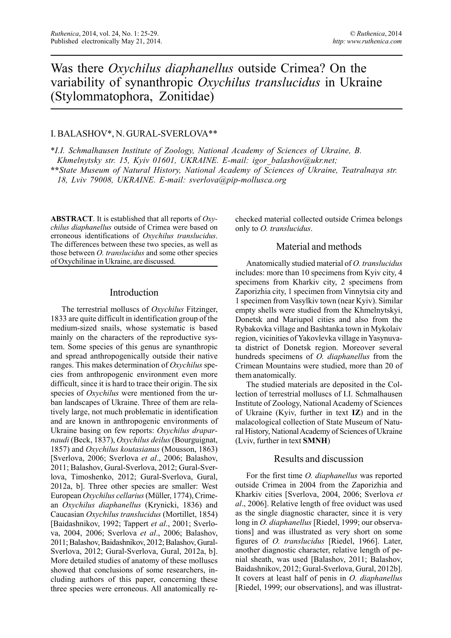# Was there *Oxychilus diaphanellus* outside Crimea? On the variability of synanthropic *Oxychilus translucidus* in Ukraine (Stylommatophora, Zonitidae)

## I. BALASHOV\*, N. GURAL-SVERLOVA\*\*

\**I.I. Schmalhausen Institute of Zoology, National Academy of Sciences of Ukraine, B. Khmelnytsky str. 15, Kyiv 01601, UKRAINE. E-mail: igor\_balashov@ukr.net;*

**\*\****State Museum of Natural History, National Academy of Sciences of Ukraine, Teatralnaya str. 18, Lviv 79008, UKRAINE. E-mail: sverlova@pip-mollusca.org*

**ABSTRACT**. It is established that all reports of *Oxychilus diaphanellus* outside of Crimea were based on erroneous identifications of *Oxychilus translucidus*. The differences between these two species, as well as those between *O. translucidus* and some other species of Oxychilinae in Ukraine, are discussed.

#### Introduction

The terrestrial molluscs of *Oxychilus* Fitzinger, 1833 are quite difficult in identification group of the medium-sized snails, whose systematic is based mainly on the characters of the reproductive system. Some species of this genus are synanthropic and spread anthropogenically outside their native ranges. This makes determination of *Oxychilus* species from anthropogenic environment even more difficult, since it is hard to trace their origin. The six species of *Oxychilus* were mentioned from the urban landscapes of Ukraine. Three of them are relatively large, not much problematic in identification and are known in anthropogenic environments of Ukraine basing on few reports: *Oxychilus draparnaudi* (Beck, 1837), *Oxychilus deilus* (Bourguignat, 1857) and *Oxychilus koutasianus* (Mousson, 1863) [Sverlova, 2006; Sverlova *et al*., 2006; Balashov, 2011; Balashov, Gural-Sverlova, 2012; Gural-Sverlova, Timoshenko, 2012; Gural-Sverlova, Gural, 2012a, b]. Three other species are smaller: West European *Oxychilus cellarius* (Müller, 1774), Crimean *Oxychilus diaphanellus* (Krynicki, 1836) and Caucasian *Oxychilus translucidus* (Mortillet, 1854) [Baidashnikov, 1992; Tappert *et al*., 2001; Sverlova, 2004, 2006; Sverlova *et al*., 2006; Balashov, 2011; Balashov, Baidashnikov, 2012; Balashov, Gural-Sverlova, 2012; Gural-Sverlova, Gural, 2012a, b]. More detailed studies of anatomy of these molluscs showed that conclusions of some researchers, including authors of this paper, concerning these three species were erroneous. All anatomically re-

checked material collected outside Crimea belongs only to *O. translucidus*.

## Material and methods

Anatomically studied material of *O. translucidus* includes: more than 10 specimens from Kyiv city, 4 specimens from Kharkiv city, 2 specimens from Zaporizhia city, 1 specimen from Vinnytsia city and 1 specimen from Vasylkiv town (near Kyiv). Similar empty shells were studied from the Khmelnytskyi, Donetsk and Mariupol cities and also from the Rybakovka village and Bashtanka town in Mykolaiv region, vicinities of Yakovlevka village in Yasynuvata district of Donetsk region. Moreover several hundreds specimens of *O. diaphanellus* from the Crimean Mountains were studied, more than 20 of them anatomically.

The studied materials are deposited in the Collection of terrestrial molluscs of I.I. Schmalhausen Institute of Zoology, National Academy of Sciences of Ukraine (Kyiv, further in text **IZ**) and in the malacological collection of State Museum of Natural History, National Academy of Sciences of Ukraine (Lviv, further in text **SMNH**)

#### Results and discussion

For the first time *O. diaphanellus* was reported outside Crimea in 2004 from the Zaporizhia and Kharkiv cities [Sverlova, 2004, 2006; Sverlova *et al*., 2006]. Relative length of free oviduct was used as the single diagnostic character, since it is very long in *O. diaphanellus* [Riedel, 1999; our observations] and was illustrated as very short on some figures of *O. translucidus* [Riedel, 1966]. Later, another diagnostic character, relative length of penial sheath, was used [Balashov, 2011; Balashov, Baidashnikov, 2012; Gural-Sverlova, Gural, 2012b]. It covers at least half of penis in *O. diaphanellus* [Riedel, 1999; our observations], and was illustrat-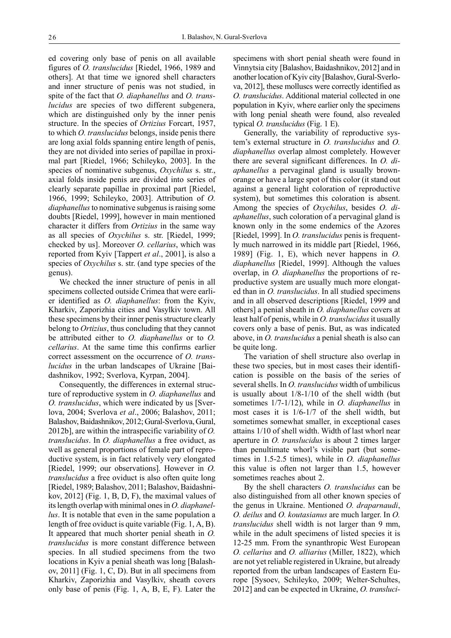ed covering only base of penis on all available figures of *O. translucidus* [Riedel, 1966, 1989 and others]. At that time we ignored shell characters and inner structure of penis was not studied, in spite of the fact that *O. diaphanellus* and *O. translucidus* are species of two different subgenera, which are distinguished only by the inner penis structure. In the species of *Ortizius* Forcart, 1957, to which *O. translucidus* belongs, inside penis there are long axial folds spanning entire length of penis, they are not divided into series of papillae in proximal part [Riedel, 1966; Schileyko, 2003]. In the species of nominative subgenus, *Oxychilus* s. str., axial folds inside penis are divided into series of clearly separate papillae in proximal part [Riedel, 1966, 1999; Schileyko, 2003]. Attribution of *O. diaphanellus* to nominative subgenus is raising some doubts [Riedel, 1999], however in main mentioned character it differs from *Ortizius* in the same way as all species of *Oxychilus* s. str. [Riedel, 1999; checked by us]. Moreover *O. cellarius*, which was reported from Kyiv [Tappert *et al*., 2001], is also a species of *Oxychilus* s. str. (and type species of the genus).

We checked the inner structure of penis in all specimens collected outside Crimea that were earlier identified as *O. diaphanellus*: from the Kyiv, Kharkiv, Zaporizhia cities and Vasylkiv town. All these specimens by their inner penis structure clearly belong to *Ortizius*, thus concluding that they cannot be attributed either to *O. diaphanellus* or to *O. cellarius*. At the same time this confirms earlier correct assessment on the occurrence of *O. translucidus* in the urban landscapes of Ukraine [Baidashnikov, 1992; Sverlova, Kyrpan, 2004].

Consequently, the differences in external structure of reproductive system in *O. diaphanellus* and *O. translucidus*, which were indicated by us [Sverlova, 2004; Sverlova *et al*., 2006; Balashov, 2011; Balashov, Baidashnikov, 2012; Gural-Sverlova, Gural, 2012b], are within the intraspecific variability of *O. translucidus*. In *O. diaphanellus* a free oviduct, as well as general proportions of female part of reproductive system, is in fact relatively very elongated [Riedel, 1999; our observations]. However in *O. translucidus* a free oviduct is also often quite long [Riedel, 1989; Balashov, 2011; Balashov, Baidashnikov, 2012] (Fig. 1, B, D, F), the maximal values of its length overlap with minimal ones in *O. diaphanellus*. It is notable that even in the same population a length of free oviduct is quite variable (Fig. 1, A, B). It appeared that much shorter penial sheath in *O. translucidus* is more constant difference between species. In all studied specimens from the two locations in Kyiv a penial sheath was long [Balashov, 2011] (Fig. 1, C, D). But in all specimens from Kharkiv, Zaporizhia and Vasylkiv, sheath covers only base of penis (Fig. 1, A, B, E, F). Later the specimens with short penial sheath were found in Vinnytsia city [Balashov, Baidashnikov, 2012] and in another location of Kyiv city [Balashov, Gural-Sverlova, 2012], these molluscs were correctly identified as *O. translucidus*. Additional material collected in one population in Kyiv, where earlier only the specimens with long penial sheath were found, also revealed typical *O. translucidus* (Fig. 1 E).

Generally, the variability of reproductive system's external structure in *O. translucidus* and *O. diaphanellus* overlap almost completely. However there are several significant differences. In *O. diaphanellus* a pervaginal gland is usually brownorange or have a large spot of this color (it stand out against a general light coloration of reproductive system), but sometimes this coloration is absent. Among the species of *Oxychilus*, besides *O. diaphanellus*, such coloration of a pervaginal gland is known only in the some endemics of the Azores [Riedel, 1999]. In *O. translucidus* penis is frequently much narrowed in its middle part [Riedel, 1966, 1989] (Fig. 1, E), which never happens in *O. diaphanellus* [Riedel, 1999]. Although the values overlap, in *O. diaphanellus* the proportions of reproductive system are usually much more elongated than in *O. translucidus*. In all studied specimens and in all observed descriptions [Riedel, 1999 and others] a penial sheath in *O. diaphanellus* covers at least half of penis, while in *O. translucidus* it usually covers only a base of penis. But, as was indicated above, in *O. translucidus* a penial sheath is also can be quite long.

The variation of shell structure also overlap in these two species, but in most cases their identification is possible on the basis of the series of several shells. In *O. translucidus* width of umbilicus is usually about 1/8-1/10 of the shell width (but sometimes 1/7-1/12), while in *O. diaphanellus* in most cases it is 1/6-1/7 of the shell width, but sometimes somewhat smaller, in exceptional cases attains 1/10 of shell width. Width of last whorl near aperture in *O. translucidus* is about 2 times larger than penultimate whorl's visible part (but sometimes in 1.5-2.5 times), while in *O. diaphanellus* this value is often not larger than 1.5, however sometimes reaches about 2.

By the shell characters *O. translucidus* can be also distinguished from all other known species of the genus in Ukraine. Mentioned *O. draparnaudi*, *O. deilus* and *O. koutasianus* are much larger. In *O. translucidus* shell width is not larger than 9 mm, while in the adult specimens of listed species it is 12-25 mm. From the synanthropic West European *O. cellarius* and *O. alliarius* (Miller, 1822), which are not yet reliable registered in Ukraine, but already reported from the urban landscapes of Eastern Europe [Sysoev, Schileyko, 2009; Welter-Schultes, 2012] and can be expected in Ukraine, *O. transluci-*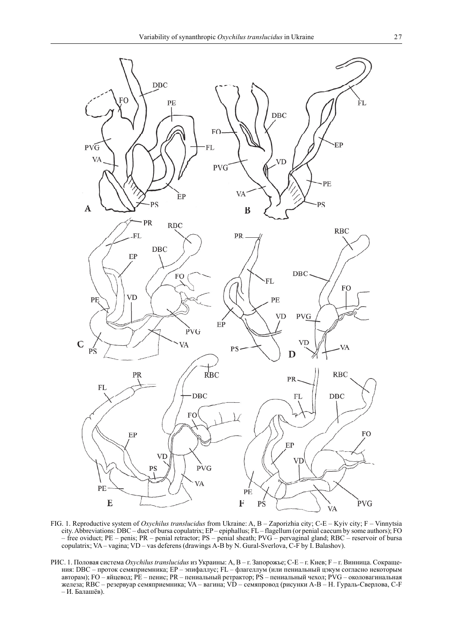

FIG. 1. Reproductive system of *Oxychilus translucidus* from Ukraine: A, B – Zaporizhia city; C-E – Kyiv city; F – Vinnytsia city. Abbreviations: DBC – duct of bursa copulatrix; EP – epiphallus; FL – flagellum (or penial caecum by some authors); FO – free oviduct; PE – penis; PR – penial retractor; PS – penial sheath; PVG – pervaginal gland; RBC – reservoir of bursa copulatrix; VA – vagina; VD – vas deferens (drawings A-B by N. Gural-Sverlova, C-F by I. Balashov).

РИС. 1. Половая система *Oxychilus translucidus* из Украины: A, B – г. Запорожье; C-E – г. Киев; F – г. Винница. Сокращения: DBC – проток семяприемника; EP – эпифаллус; FL – флагеллум (или пениальный цэкум согласно некоторым авторам); FO – яйцевод; PE – пенис; PR – пениальный ретрактор; PS – пениальный чехол; PVG – околовагинальная железа; RBC – резервуар семяприемника; VA – вагина; VD – семяпровод (рисунки A-B – Н. Гураль-Сверлова, C-F – И. Балашёв).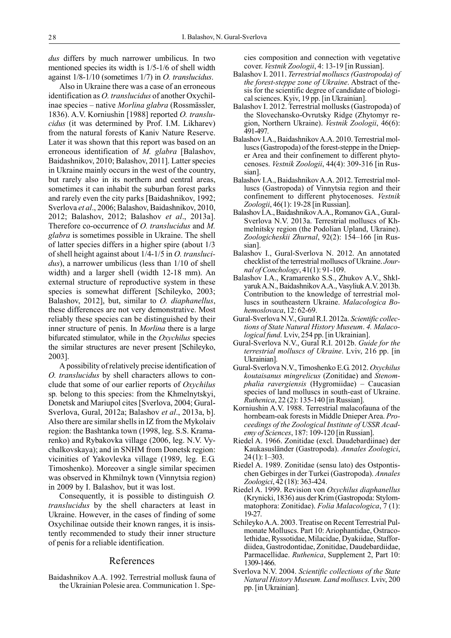*dus* differs by much narrower umbilicus. In two mentioned species its width is 1/5-1/6 of shell width against 1/8-1/10 (sometimes 1/7) in *O. translucidus*.

Also in Ukraine there was a case of an erroneous identification as *O. translucidus* of another Oxychilinae species – native *Morlina glabra* (Rossmässler, 1836). A.V. Korniushin [1988] reported *O. translucidus* (it was determined by Prof. I.M. Likharev) from the natural forests of Kaniv Nature Reserve. Later it was shown that this report was based on an erroneous identification of *M. glabra* [Balashov, Baidashnikov, 2010; Balashov, 2011]. Latter species in Ukraine mainly occurs in the west of the country, but rarely also in its northern and central areas, sometimes it can inhabit the suburban forest parks and rarely even the city parks [Baidashnikov, 1992; Sverlova *et al*., 2006; Balashov, Baidashnikov, 2010, 2012; Balashov, 2012; Balashov *et al*., 2013a]. Therefore co-occurrence of *O. translucidus* and *M. glabra* is sometimes possible in Ukraine. The shell of latter species differs in a higher spire (about 1/3 of shell height against about 1/4-1/5 in *O. translucidus*), a narrower umbilicus (less than 1/10 of shell width) and a larger shell (width 12-18 mm). An external structure of reproductive system in these species is somewhat different [Schileyko, 2003; Balashov, 2012], but, similar to *O. diaphanellus*, these differences are not very demonstrative. Most reliably these species can be distinguished by their inner structure of penis. In *Morlina* there is a large bifurcated stimulator, while in the *Oxychilus* species the similar structures are never present [Schileyko, 2003].

A possibility of relatively precise identification of *O. translucidus* by shell characters allows to conclude that some of our earlier reports of *Oxychilus* sp*.* belong to this species: from the Khmelnytskyi, Donetsk and Mariupol cites [Sverlova, 2004; Gural-Sverlova, Gural, 2012a; Balashov *et al*., 2013a, b]. Also there are similar shells in IZ from the Mykolaiv region: the Bashtanka town (1998, leg. S.S. Kramarenko) and Rybakovka village (2006, leg. N.V. Vychalkovskaya); and in SNHM from Donetsk region: vicinities of Yakovlevka village (1989, leg. E.G. Timoshenko). Moreover a single similar specimen was observed in Khmilnyk town (Vinnytsia region) in 2009 by I. Balashov, but it was lost.

Consequently, it is possible to distinguish *O. translucidus* by the shell characters at least in Ukraine. However, in the cases of finding of some Oxychilinae outside their known ranges, it is insistently recommended to study their inner structure of penis for a reliable identification.

#### References

Baidashnikov A.A. 1992. Terrestrial mollusk fauna of the Ukrainian Polesie area. Communication 1. Species composition and connection with vegetative cover. *Vestnik Zoologii*, 4: 13-19 [in Russian].

- Balashov I. 2011. *Terrestrial molluscs (Gastropoda) of the forest-steppe zone of Ukraine*. Abstract of thesis for the scientific degree of candidate of biological sciences. Kyiv, 19 pp. [in Ukrainian].
- Balashov I. 2012. Terrestrial mollusks (Gastropoda) of the Slovechansko-Ovrutsky Ridge (Zhytomyr region, Northern Ukraine). *Vestnik Zoologii*, 46(6): 491-497.
- Balashov I.A., Baidashnikov A.A. 2010. Terrestrial molluscs (Gastropoda) of the forest-steppe in the Dnieper Area and their confinement to different phytocenoses. *Vestnik Zoologii*, 44(4): 309-316 [in Russian].
- Balashov I.A., Baidashnikov A.A. 2012. Terrestrial molluscs (Gastropoda) of Vinnytsia region and their confinement to different phytocenoses. *Vestnik Zoologii*, 46(1): 19-28 [in Russian].
- Balashov I.A., Baidashnikov A.A., Romanov G.A., Gural-Sverlova N.V. 2013a. Terrestrial molluscs of Khmelnitsky region (the Podolian Upland, Ukraine). *Zoologicheskii Zhurnal*, 92(2): 154–166 [in Russian].
- Balashov I., Gural-Sverlova N. 2012. An annotated checklist of the terrestrial molluscs of Ukraine. *Journal of Conchology*, 41(1): 91-109.
- Balashov I.A., Kramarenko S.S., Zhukov A.V., Shklyaruk A.N., Baidashnikov A.A., Vasyliuk A.V. 2013b. Contribution to the knowledge of terrestrial molluscs in southeastern Ukraine. *Malacologica Bohemoslovaca*, 12: 62-69.
- Gural-Sverlova N.V., Gural R.I. 2012a. *Scientific collections of State Natural History Museum*. *4. Malacological fund.* Lviv, 254 pp. [in Ukrainian].
- Gural-Sverlova N.V., Gural R.I. 2012b. *Guide for the terrestrial molluscs of Ukraine*. Lviv, 216 pp. [in Ukrainian].
- Gural-Sverlova N.V., Timoshenko E.G. 2012. *Oxychilus koutaisanus mingrelicus* (Zonitidae) and *Stenomphalia ravergiensis* (Hygromiidae) – Caucasian species of land molluscs in south-east of Ukraine. *Ruthenica*, 22 (2): 135-140 [in Russian].
- Korniushin A.V. 1988. Terrestrial malacofauna of the hornbeam-oak forests in Middle Dnieper Area. *Proceedings of the Zoological Institute of USSR Academy of Sciences*, 187: 109-120 [in Russian].
- Riedel A. 1966. Zonitidae (excl. Daudebardiinae) der Kaukasusländer (Gastropoda). *Annales Zoologici*, 24 (1): 1–303.
- Riedel A. 1989. Zonitidae (sensu lato) des Ostpontischen Gebirges in der Turkei (Gastropoda). *Annales Zoologici*, 42 (18): 363-424.
- Riedel A. 1999. Revision von *Oxychilus diaphanellus* (Krynicki, 1836) aus der Krim (Gastropoda: Stylommatophora: Zonitidae). *Folia Malacologica*, 7 (1): 19-27.
- Schileyko A.A. 2003. Treatise on Recent Terrestrial Pulmonate Molluscs. Part 10: Ariophantidae, Ostracolethidae, Ryssotidae, Milacidae, Dyakiidae, Staffordiidea, Gastrodontidae, Zonitidae, Daudebardiidae, Parmacellidae. *Ruthenica*, Supplement 2, Part 10: 1309-1466.
- Sverlova N.V. 2004. *Scientific collections of the State Natural History Museum. Land molluscs.* Lviv, 200 pp. [in Ukrainian].